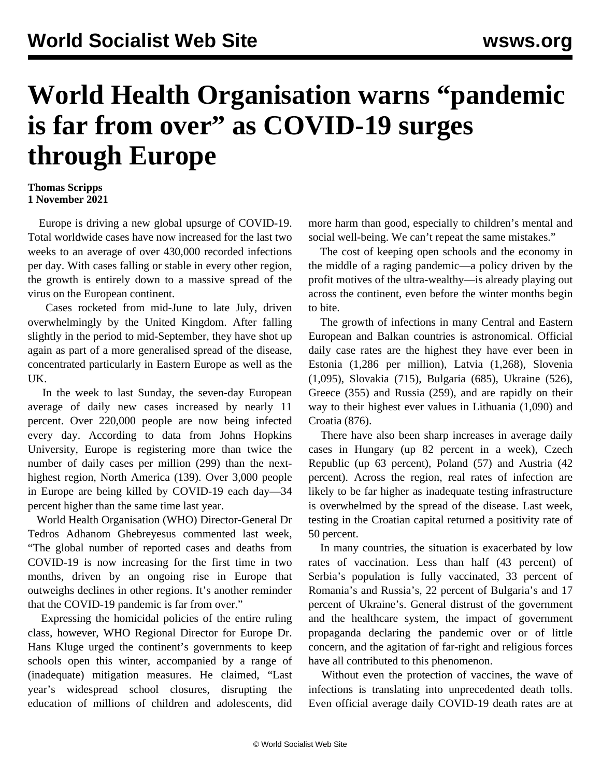## **World Health Organisation warns "pandemic is far from over" as COVID-19 surges through Europe**

## **Thomas Scripps 1 November 2021**

 Europe is driving a new global upsurge of COVID-19. Total worldwide cases have now increased for the last two weeks to an average of over 430,000 recorded infections per day. With cases falling or stable in every other region, the growth is entirely down to a massive spread of the virus on the European continent.

 Cases rocketed from mid-June to late July, driven overwhelmingly by the United Kingdom. After falling slightly in the period to mid-September, they have shot up again as part of a more generalised spread of the disease, concentrated particularly in Eastern Europe as well as the UK.

 In the week to last Sunday, the seven-day European average of daily new cases increased by nearly 11 percent. Over 220,000 people are now being infected every day. According to data from Johns Hopkins University, Europe is registering more than twice the number of daily cases per million (299) than the nexthighest region, North America (139). Over 3,000 people in Europe are being killed by COVID-19 each day—34 percent higher than the same time last year.

 World Health Organisation (WHO) Director-General Dr Tedros Adhanom Ghebreyesus commented last week, "The global number of reported cases and deaths from COVID-19 is now increasing for the first time in two months, driven by an ongoing rise in Europe that outweighs declines in other regions. It's another reminder that the COVID-19 pandemic is far from over."

 Expressing the homicidal policies of the entire ruling class, however, WHO Regional Director for Europe Dr. Hans Kluge urged the continent's governments to keep schools open this winter, accompanied by a range of (inadequate) mitigation measures. He claimed, "Last year's widespread school closures, disrupting the education of millions of children and adolescents, did more harm than good, especially to children's mental and social well-being. We can't repeat the same mistakes."

 The cost of keeping open schools and the economy in the middle of a raging pandemic—a policy driven by the profit motives of the ultra-wealthy—is already playing out across the continent, even before the winter months begin to bite.

 The growth of infections in many Central and Eastern European and Balkan countries is astronomical. Official daily case rates are the highest they have ever been in Estonia (1,286 per million), Latvia (1,268), Slovenia (1,095), Slovakia (715), Bulgaria (685), Ukraine (526), Greece (355) and Russia (259), and are rapidly on their way to their highest ever values in Lithuania (1,090) and Croatia (876).

 There have also been sharp increases in average daily cases in Hungary (up 82 percent in a week), Czech Republic (up 63 percent), Poland (57) and Austria (42 percent). Across the region, real rates of infection are likely to be far higher as inadequate testing infrastructure is overwhelmed by the spread of the disease. Last week, testing in the Croatian capital returned a positivity rate of 50 percent.

 In many countries, the situation is exacerbated by low rates of vaccination. Less than half (43 percent) of Serbia's population is fully vaccinated, 33 percent of Romania's and Russia's, 22 percent of Bulgaria's and 17 percent of Ukraine's. General distrust of the government and the healthcare system, the impact of government propaganda declaring the pandemic over or of little concern, and the agitation of far-right and religious forces have all contributed to this phenomenon.

 Without even the protection of vaccines, the wave of infections is translating into unprecedented death tolls. Even official average daily COVID-19 death rates are at